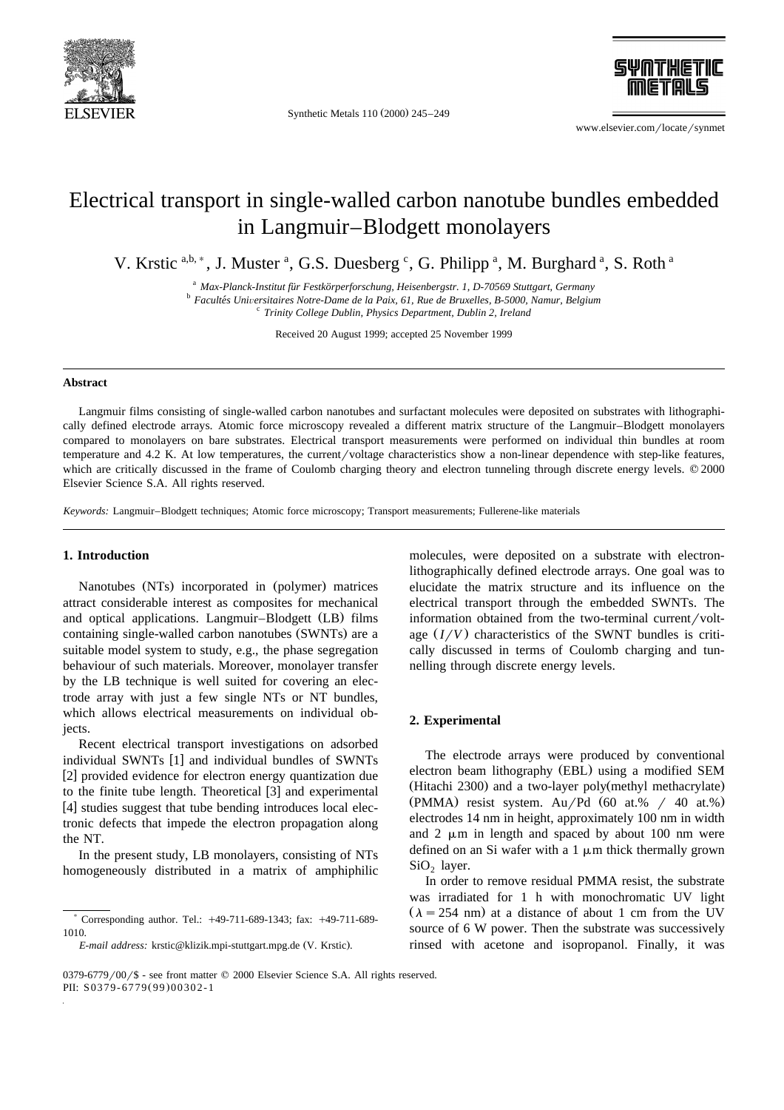

Synthetic Metals 110 (2000) 245-249



www.elsevier.com/locate/synmet

# Electrical transport in single-walled carbon nanotube bundles embedded in Langmuir–Blodgett monolayers

V. Krstic a,b, \*, J. Muster <sup>a</sup>, G.S. Duesberg <sup>c</sup>, G. Philipp <sup>a</sup>, M. Burghard <sup>a</sup>, S. Roth <sup>a</sup>

<sup>a</sup> *Max-Planck-Institut fur Festkörperforschung, Heisenbergstr. 1, D-70569 Stuttgart, Germany*<br><sup>b</sup> *Facultés Universitaires Notre-Dame de la Paix, 61, Rue de Bruxelles, B-5000, Namur, Belgium* 

<sup>c</sup> *Trinity College Dublin, Physics Department, Dublin 2, Ireland*

Received 20 August 1999; accepted 25 November 1999

#### **Abstract**

Langmuir films consisting of single-walled carbon nanotubes and surfactant molecules were deposited on substrates with lithographically defined electrode arrays. Atomic force microscopy revealed a different matrix structure of the Langmuir–Blodgett monolayers compared to monolayers on bare substrates. Electrical transport measurements were performed on individual thin bundles at room temperature and  $4.2$  K. At low temperatures, the current/voltage characteristics show a non-linear dependence with step-like features, which are critically discussed in the frame of Coulomb charging theory and electron tunneling through discrete energy levels.  $\oslash$  2000 Elsevier Science S.A. All rights reserved.

*Keywords:* Langmuir–Blodgett techniques; Atomic force microscopy; Transport measurements; Fullerene-like materials

## **1. Introduction**

Nanotubes (NTs) incorporated in (polymer) matrices attract considerable interest as composites for mechanical and optical applications. Langmuir–Blodgett (LB) films containing single-walled carbon nanotubes (SWNTs) are a suitable model system to study, e.g., the phase segregation behaviour of such materials. Moreover, monolayer transfer by the LB technique is well suited for covering an electrode array with just a few single NTs or NT bundles, which allows electrical measurements on individual objects.

Recent electrical transport investigations on adsorbed individual SWNTs [1] and individual bundles of SWNTs [2] provided evidence for electron energy quantization due to the finite tube length. Theoretical  $[3]$  and experimental  $[4]$  studies suggest that tube bending introduces local electronic defects that impede the electron propagation along the NT.

In the present study, LB monolayers, consisting of NTs homogeneously distributed in a matrix of amphiphilic

molecules, were deposited on a substrate with electronlithographically defined electrode arrays. One goal was to elucidate the matrix structure and its influence on the electrical transport through the embedded SWNTs. The information obtained from the two-terminal current/voltage  $(I/V)$  characteristics of the SWNT bundles is critically discussed in terms of Coulomb charging and tunnelling through discrete energy levels.

### **2. Experimental**

The electrode arrays were produced by conventional electron beam lithography (EBL) using a modified SEM (Hitachi 2300) and a two-layer poly (methyl methacrylate) (PMMA) resist system. Au/Pd  $(60$  at.% / 40 at.%) electrodes 14 nm in height, approximately 100 nm in width and 2  $\mu$ m in length and spaced by about 100 nm were defined on an Si wafer with a  $1 \mu m$  thick thermally grown  $SiO<sub>2</sub>$  layer.

In order to remove residual PMMA resist, the substrate was irradiated for 1 h with monochromatic UV light  $(\lambda = 254 \text{ nm})$  at a distance of about 1 cm from the UV source of 6 W power. Then the substrate was successively rinsed with acetone and isopropanol. Finally, it was

<sup>)</sup> Corresponding author. Tel.: q49-711-689-1343; fax: q49-711-689- 1010.

*E-mail address:* krstic@klizik.mpi-stuttgart.mpg.de (V. Krstic).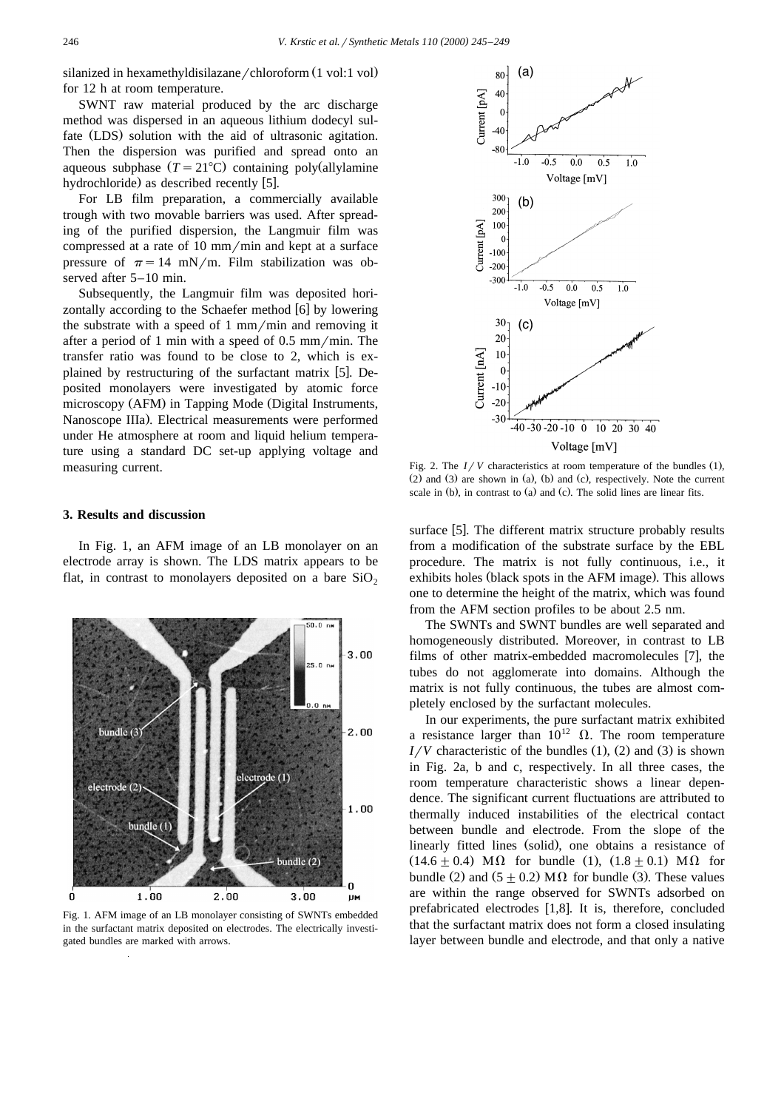silanized in hexamethyldisilazane/chloroform (1 vol:1 vol) for 12 h at room temperature.

SWNT raw material produced by the arc discharge method was dispersed in an aqueous lithium dodecyl sulfate (LDS) solution with the aid of ultrasonic agitation. Then the dispersion was purified and spread onto an aqueous subphase  $(T = 21^{\circ}C)$  containing poly (allylamine hydrochloride) as described recently  $[5]$ .

For LB film preparation, a commercially available trough with two movable barriers was used. After spreading of the purified dispersion, the Langmuir film was compressed at a rate of  $10 \text{ mm/min}$  and kept at a surface pressure of  $\pi = 14$  mN/m. Film stabilization was observed after 5–10 min.

Subsequently, the Langmuir film was deposited horizontally according to the Schaefer method [6] by lowering the substrate with a speed of  $1 \text{ mm/min}$  and removing it after a period of 1 min with a speed of  $0.5 \text{ mm/min}$ . The transfer ratio was found to be close to 2, which is explained by restructuring of the surfactant matrix [5]. Deposited monolayers were investigated by atomic force microscopy (AFM) in Tapping Mode (Digital Instruments, Nanoscope IIIa). Electrical measurements were performed under He atmosphere at room and liquid helium temperature using a standard DC set-up applying voltage and measuring current.

### **3. Results and discussion**

In Fig. 1, an AFM image of an LB monolayer on an electrode array is shown. The LDS matrix appears to be flat, in contrast to monolayers deposited on a bare  $SiO<sub>2</sub>$ 



Fig. 1. AFM image of an LB monolayer consisting of SWNTs embedded in the surfactant matrix deposited on electrodes. The electrically investigated bundles are marked with arrows.



Fig. 2. The  $I/V$  characteristics at room temperature of the bundles  $(1)$ ,  $(2)$  and  $(3)$  are shown in  $(a)$ ,  $(b)$  and  $(c)$ , respectively. Note the current scale in (b), in contrast to (a) and (c). The solid lines are linear fits.

surface [5]. The different matrix structure probably results from a modification of the substrate surface by the EBL procedure. The matrix is not fully continuous, i.e., it exhibits holes (black spots in the AFM image). This allows one to determine the height of the matrix, which was found from the AFM section profiles to be about 2.5 nm.

The SWNTs and SWNT bundles are well separated and homogeneously distributed. Moreover, in contrast to LB films of other matrix-embedded macromolecules [7], the tubes do not agglomerate into domains. Although the matrix is not fully continuous, the tubes are almost completely enclosed by the surfactant molecules.

In our experiments, the pure surfactant matrix exhibited a resistance larger than  $10^{12}$   $\Omega$ . The room temperature  $I/V$  characteristic of the bundles  $(1)$ ,  $(2)$  and  $(3)$  is shown in Fig. 2a, b and c, respectively. In all three cases, the room temperature characteristic shows a linear dependence. The significant current fluctuations are attributed to thermally induced instabilities of the electrical contact between bundle and electrode. From the slope of the linearly fitted lines (solid), one obtains a resistance of  $(14.6 \pm 0.4)$  M $\Omega$  for bundle (1),  $(1.8 \pm 0.1)$  M $\Omega$  for bundle (2) and  $(5 + 0.2)$  M $\Omega$  for bundle (3). These values are within the range observed for SWNTs adsorbed on prefabricated electrodes  $[1,8]$ . It is, therefore, concluded that the surfactant matrix does not form a closed insulating layer between bundle and electrode, and that only a native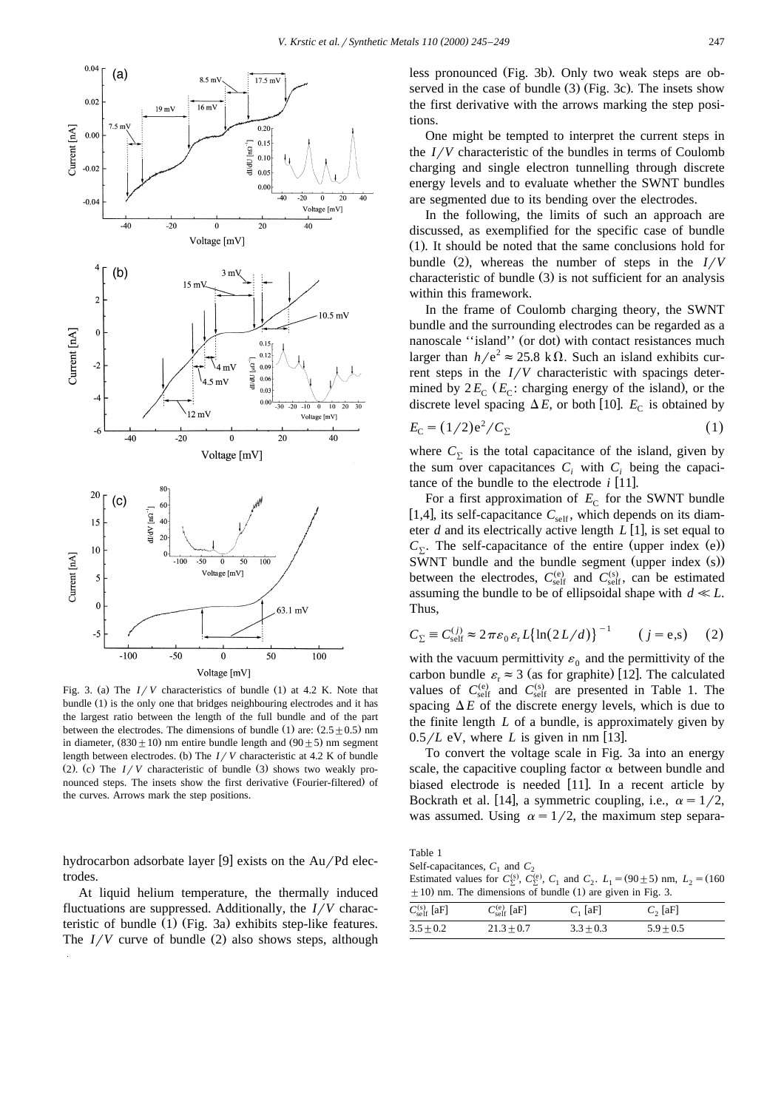

Fig. 3. (a) The  $I/V$  characteristics of bundle (1) at 4.2 K. Note that bundle (1) is the only one that bridges neighbouring electrodes and it has the largest ratio between the length of the full bundle and of the part between the electrodes. The dimensions of bundle (1) are:  $(2.5 \pm 0.5)$  nm in diameter,  $(830 \pm 10)$  nm entire bundle length and  $(90 \pm 5)$  nm segment length between electrodes. (b) The  $I / V$  characteristic at 4.2 K of bundle (2). (c) The  $I/V$  characteristic of bundle (3) shows two weakly pronounced steps. The insets show the first derivative (Fourier-filtered) of the curves. Arrows mark the step positions.

hydrocarbon adsorbate layer [9] exists on the  $Au/Pd$  electrodes.

At liquid helium temperature, the thermally induced fluctuations are suppressed. Additionally, the *I/V* characteristic of bundle  $(1)$  (Fig. 3a) exhibits step-like features. The  $I/V$  curve of bundle (2) also shows steps, although less pronounced (Fig. 3b). Only two weak steps are observed in the case of bundle  $(3)$  (Fig. 3c). The insets show the first derivative with the arrows marking the step positions.

One might be tempted to interpret the current steps in the  $I/V$  characteristic of the bundles in terms of Coulomb charging and single electron tunnelling through discrete energy levels and to evaluate whether the SWNT bundles are segmented due to its bending over the electrodes.

In the following, the limits of such an approach are discussed, as exemplified for the specific case of bundle  $(1)$ . It should be noted that the same conclusions hold for bundle (2), whereas the number of steps in the  $I/V$ characteristic of bundle  $(3)$  is not sufficient for an analysis within this framework.

In the frame of Coulomb charging theory, the SWNT bundle and the surrounding electrodes can be regarded as a nanoscale "island" (or dot) with contact resistances much larger than  $h/e^2 \approx 25.8 \text{ k}\Omega$ . Such an island exhibits current steps in the  $I/V$  characteristic with spacings determined by  $2E_C$  ( $E_C$ : charging energy of the island), or the discrete level spacing  $\Delta E$ , or both [10].  $E_C$  is obtained by

$$
E_{\rm C} = (1/2) e^2 / C_{\Sigma} \tag{1}
$$

where  $C_{\Sigma}$  is the total capacitance of the island, given by the sum over capacitances  $C_i$  with  $C_i$  being the capacitance of the bundle to the electrode  $i$  [11].

For a first approximation of  $E_C$  for the SWNT bundle [1,4], its self-capacitance  $C_{\text{self}}$ , which depends on its diameter *d* and its electrically active length  $L[1]$ , is set equal to  $C_{\Sigma}$ . The self-capacitance of the entire (upper index (e)) SWNT bundle and the bundle segment (upper index  $(s)$ ) between the electrodes,  $C_{\text{self}}^{(e)}$  and  $C_{\text{self}}^{(s)}$ , can be estimated assuming the bundle to be of ellipsoidal shape with  $d \ll L$ . Thus,

$$
C_{\Sigma} \equiv C_{\text{self}}^{(j)} \approx 2\pi\varepsilon_0 \varepsilon_r L \{ \ln(2L/d) \}^{-1} \qquad (j = e, s) \tag{2}
$$

with the vacuum permittivity  $\varepsilon_0$  and the permittivity of the carbon bundle  $\varepsilon_r \approx 3$  (as for graphite) [12]. The calculated values of  $C_{\text{self}}^{(e)}$  and  $C_{\text{self}}^{(s)}$  are presented in Table 1. The spacing  $\Delta E$  of the discrete energy levels, which is due to the finite length *L* of a bundle, is approximately given by  $0.5/L$  eV, where *L* is given in nm [13].

To convert the voltage scale in Fig. 3a into an energy scale, the capacitive coupling factor  $\alpha$  between bundle and biased electrode is needed  $[11]$ . In a recent article by Bockrath et al. [14], a symmetric coupling, i.e.,  $\alpha = 1/2$ , was assumed. Using  $\alpha = 1/2$ , the maximum step separa-

Table 1 Self-capacitances,  $C_1$  and  $C_2$ Estimated values for  $C_{\Sigma}^{(s)}$ ,  $C_{\Sigma}^{(e)}$ ,  $C_1$  and  $C_2$ .  $L_1 = (90 \pm 5)$  nm,  $L_2 = (160 \pm 160)$  $\pm$  10) nm. The dimensions of bundle (1) are given in Fig. 3.

| $C_{\rm self}^{(s)}$ [aF] | $C_{\rm self}^{\rm (e)}$ [aF] | $C_1$ [aF]  | $C_2$ [aF]  |
|---------------------------|-------------------------------|-------------|-------------|
| $3.5 + 0.2$               | $21.3 + 0.7$                  | $3.3 + 0.3$ | $5.9 + 0.5$ |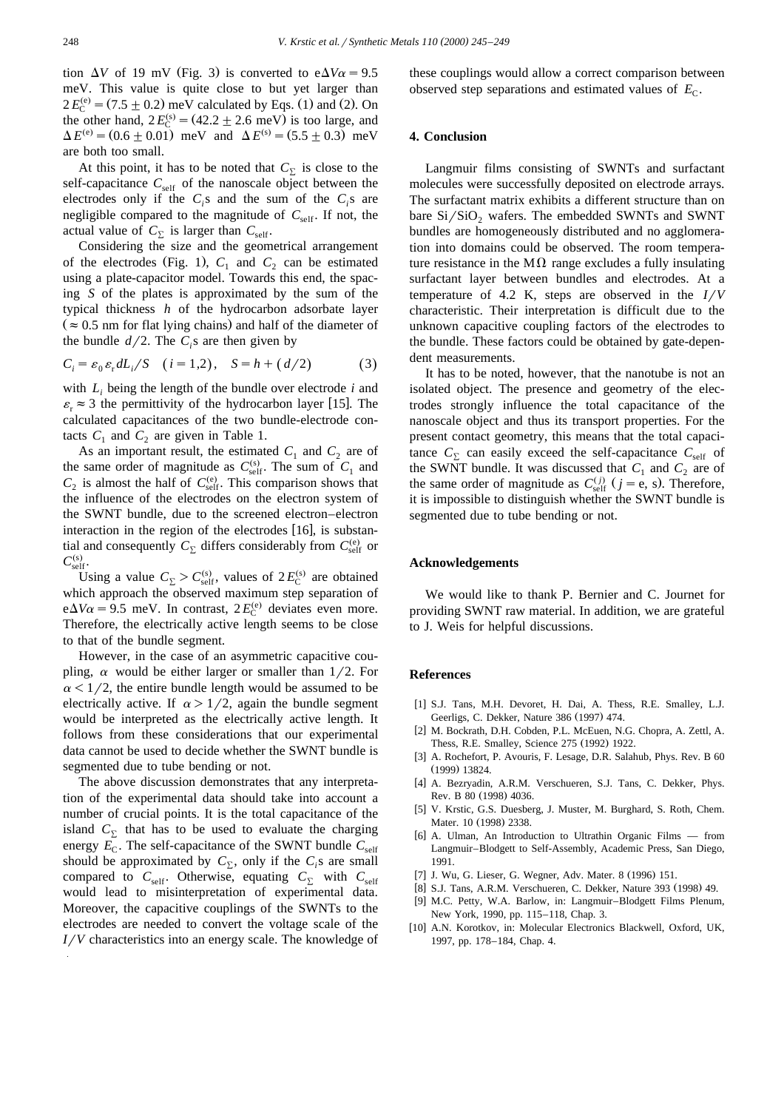tion  $\Delta V$  of 19 mV (Fig. 3) is converted to  $e\Delta V\alpha = 9.5$ meV. This value is quite close to but yet larger than  $2 E_C^{(e)} = (7.5 \pm 0.2)$  meV calculated by Eqs. (1) and (2). On the other hand,  $2 E_C^{(s)} = (42.2 \pm 2.6 \text{ meV})$  is too large, and  $\Delta E^{(e)} = (0.6 \pm 0.01)$  meV and  $\Delta E^{(s)} = (5.5 \pm 0.3)$  meV are both too small.

At this point, it has to be noted that  $C_{\Sigma}$  is close to the self-capacitance  $C_{\text{self}}$  of the nanoscale object between the electrodes only if the  $C_i$ s and the sum of the  $C_i$ s are negligible compared to the magnitude of  $C_{\text{self}}$ . If not, the actual value of  $C_{\Sigma}$  is larger than  $C_{\text{self}}$ .

Considering the size and the geometrical arrangement of the electrodes (Fig. 1),  $C_1$  and  $C_2$  can be estimated using a plate-capacitor model. Towards this end, the spacing *S* of the plates is approximated by the sum of the typical thickness *h* of the hydrocarbon adsorbate layer  $(z \approx 0.5$  nm for flat lying chains) and half of the diameter of the bundle  $d/2$ . The  $C_i$ s are then given by

$$
C_i = \varepsilon_0 \, \varepsilon_r \, dL_i / S \quad (i = 1, 2), \quad S = h + (d/2) \tag{3}
$$

with *Li* being the length of the bundle over electrode *i* and  $\varepsilon_r \approx 3$  the permittivity of the hydrocarbon layer [15]. The calculated capacitances of the two bundle-electrode contacts  $C_1$  and  $C_2$  are given in Table 1.

As an important result, the estimated  $C_1$  and  $C_2$  are of the same order of magnitude as  $C_{\text{self}}^{(s)}$ . The sum of  $C_1$  and  $C_2$  is almost the half of  $C_{\text{self}}^{(e)}$ . This comparison shows that the influence of the electrodes on the electron system of the SWNT bundle, due to the screened electron–electron interaction in the region of the electrodes  $[16]$ , is substantial and consequently  $C_{\Sigma}$  differs considerably from  $C_{\text{self}}^{(e)}$  or  $C_{\rm self}^{(s)}$ .

Using a value  $C_{\Sigma} > C_{\text{self}}^{(s)}$ , values of  $2E_{\text{C}}^{(s)}$  are obtained which approach the observed maximum step separation of  $e\Delta V\alpha = 9.5$  meV. In contrast,  $2 E_C^{(e)}$  deviates even more. Therefore, the electrically active length seems to be close to that of the bundle segment.

However, in the case of an asymmetric capacitive coupling,  $\alpha$  would be either larger or smaller than 1/2. For  $\alpha$  < 1/2, the entire bundle length would be assumed to be electrically active. If  $\alpha > 1/2$ , again the bundle segment would be interpreted as the electrically active length. It follows from these considerations that our experimental data cannot be used to decide whether the SWNT bundle is segmented due to tube bending or not.

The above discussion demonstrates that any interpretation of the experimental data should take into account a number of crucial points. It is the total capacitance of the island  $C<sub>y</sub>$  that has to be used to evaluate the charging energy  $E_C$ . The self-capacitance of the SWNT bundle  $C_{\text{self}}$ should be approximated by  $C_{\Sigma}$ , only if the  $C_i$ s are small compared to  $C_{\text{self}}$ . Otherwise, equating  $C_{\Sigma}$  with  $C_{\text{self}}$ would lead to misinterpretation of experimental data. Moreover, the capacitive couplings of the SWNTs to the electrodes are needed to convert the voltage scale of the *I/V* characteristics into an energy scale. The knowledge of these couplings would allow a correct comparison between observed step separations and estimated values of  $E_C$ .

#### **4. Conclusion**

Langmuir films consisting of SWNTs and surfactant molecules were successfully deposited on electrode arrays. The surfactant matrix exhibits a different structure than on bare  $Si/SiO<sub>2</sub>$  wafers. The embedded SWNTs and SWNT bundles are homogeneously distributed and no agglomeration into domains could be observed. The room temperature resistance in the  $M\Omega$  range excludes a fully insulating surfactant layer between bundles and electrodes. At a temperature of 4.2 K, steps are observed in the  $I/V$ characteristic. Their interpretation is difficult due to the unknown capacitive coupling factors of the electrodes to the bundle. These factors could be obtained by gate-dependent measurements.

It has to be noted, however, that the nanotube is not an isolated object. The presence and geometry of the electrodes strongly influence the total capacitance of the nanoscale object and thus its transport properties. For the present contact geometry, this means that the total capacitance  $C_{\Sigma}$  can easily exceed the self-capacitance  $C_{\text{self}}$  of the SWNT bundle. It was discussed that  $C_1$  and  $C_2$  are of the same order of magnitude as  $C_{\text{self}}^{(j)}$  ( $j = e$ , s). Therefore, it is impossible to distinguish whether the SWNT bundle is segmented due to tube bending or not.

#### **Acknowledgements**

We would like to thank P. Bernier and C. Journet for providing SWNT raw material. In addition, we are grateful to J. Weis for helpful discussions.

#### **References**

- [1] S.J. Tans, M.H. Devoret, H. Dai, A. Thess, R.E. Smalley, L.J. Geerligs, C. Dekker, Nature 386 (1997) 474.
- [2] M. Bockrath, D.H. Cobden, P.L. McEuen, N.G. Chopra, A. Zettl, A. Thess, R.E. Smalley, Science 275 (1992) 1922.
- [3] A. Rochefort, P. Avouris, F. Lesage, D.R. Salahub, Phys. Rev. B 60 (1999) 13824.
- [4] A. Bezryadin, A.R.M. Verschueren, S.J. Tans, C. Dekker, Phys. Rev. B 80 (1998) 4036.
- [5] V. Krstic, G.S. Duesberg, J. Muster, M. Burghard, S. Roth, Chem. Mater. 10 (1998) 2338.
- [6] A. Ulman, An Introduction to Ultrathin Organic Films from Langmuir–Blodgett to Self-Assembly, Academic Press, San Diego, 1991.
- [7] J. Wu, G. Lieser, G. Wegner, Adv. Mater. 8 (1996) 151.
- [8] S.J. Tans, A.R.M. Verschueren, C. Dekker, Nature 393 (1998) 49.
- [9] M.C. Petty, W.A. Barlow, in: Langmuir–Blodgett Films Plenum, New York, 1990, pp. 115–118, Chap. 3.
- [10] A.N. Korotkov, in: Molecular Electronics Blackwell, Oxford, UK, 1997, pp. 178–184, Chap. 4.